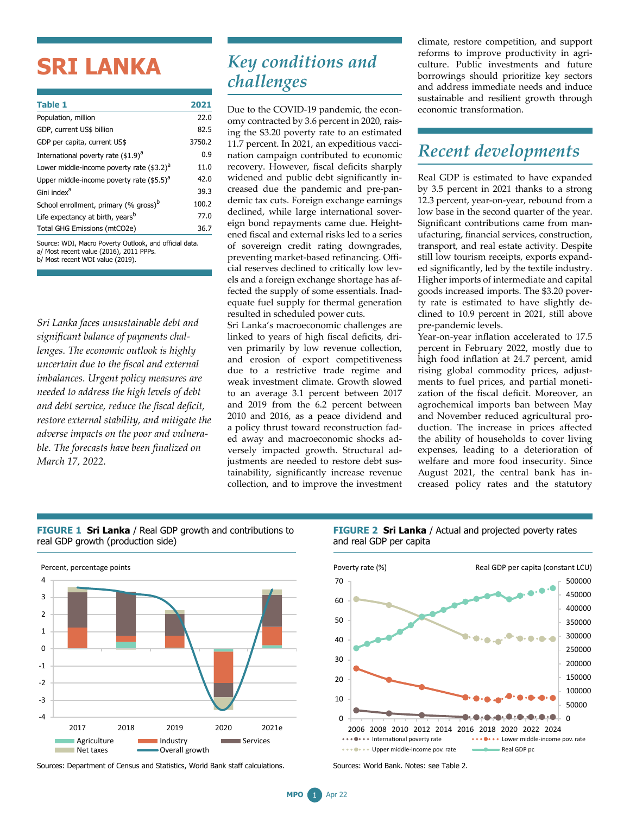# **SRI LANKA**

| <b>Table 1</b>                                         | 2021   |
|--------------------------------------------------------|--------|
| Population, million                                    | 22.0   |
| GDP, current US\$ billion                              | 82.5   |
| GDP per capita, current US\$                           | 3750.2 |
| International poverty rate (\$1.9) <sup>a</sup>        | 0.9    |
| Lower middle-income poverty rate (\$3.2) <sup>a</sup>  | 11.0   |
| Upper middle-income poverty rate $(55.5)^{a}$          | 42.0   |
| Gini index <sup>a</sup>                                | 39.3   |
| School enrollment, primary (% gross) <sup>b</sup>      | 100.2  |
| Life expectancy at birth, years <sup>b</sup>           | 77.0   |
| Total GHG Emissions (mtCO2e)                           | 36.7   |
| Source: WDI, Macro Poverty Outlook, and official data. |        |

a/ Most recent value (2016), 2011 PPPs. b/ Most recent WDI value (2019).

*Sri Lanka faces unsustainable debt and significant balance of payments challenges. The economic outlook is highly uncertain due to the fiscal and external imbalances. Urgent policy measures are needed to address the high levels of debt and debt service, reduce the fiscal deficit, restore external stability, and mitigate the adverse impacts on the poor and vulnerable. The forecasts have been finalized on March 17, 2022.*

### *Key conditions and challenges*

Due to the COVID-19 pandemic, the economy contracted by 3.6 percent in 2020, raising the \$3.20 poverty rate to an estimated 11.7 percent. In 2021, an expeditious vaccination campaign contributed to economic recovery. However, fiscal deficits sharply widened and public debt significantly increased due the pandemic and pre-pandemic tax cuts. Foreign exchange earnings declined, while large international sovereign bond repayments came due. Heightened fiscal and external risks led to a series of sovereign credit rating downgrades, preventing market-based refinancing. Official reserves declined to critically low levels and a foreign exchange shortage has affected the supply of some essentials. Inadequate fuel supply for thermal generation resulted in scheduled power cuts.

Sri Lanka's macroeconomic challenges are linked to years of high fiscal deficits, driven primarily by low revenue collection, and erosion of export competitiveness due to a restrictive trade regime and weak investment climate. Growth slowed to an average 3.1 percent between 2017 and 2019 from the 6.2 percent between 2010 and 2016, as a peace dividend and a policy thrust toward reconstruction faded away and macroeconomic shocks adversely impacted growth. Structural adjustments are needed to restore debt sustainability, significantly increase revenue collection, and to improve the investment climate, restore competition, and support reforms to improve productivity in agriculture. Public investments and future borrowings should prioritize key sectors and address immediate needs and induce sustainable and resilient growth through economic transformation.

## *Recent developments*

Real GDP is estimated to have expanded by 3.5 percent in 2021 thanks to a strong 12.3 percent, year-on-year, rebound from a low base in the second quarter of the year. Significant contributions came from manufacturing, financial services, construction, transport, and real estate activity. Despite still low tourism receipts, exports expanded significantly, led by the textile industry. Higher imports of intermediate and capital goods increased imports. The \$3.20 poverty rate is estimated to have slightly declined to 10.9 percent in 2021, still above pre-pandemic levels.

Year-on-year inflation accelerated to 17.5 percent in February 2022, mostly due to high food inflation at 24.7 percent, amid rising global commodity prices, adjustments to fuel prices, and partial monetization of the fiscal deficit. Moreover, an agrochemical imports ban between May and November reduced agricultural production. The increase in prices affected the ability of households to cover living expenses, leading to a deterioration of welfare and more food insecurity. Since August 2021, the central bank has increased policy rates and the statutory

#### **FIGURE 1 Sri Lanka** / Real GDP growth and contributions to real GDP growth (production side)



Sources: Department of Census and Statistics, World Bank staff calculations.

#### **FIGURE 2 Sri Lanka** / Actual and projected poverty rates and real GDP per capita



Sources: World Bank. Notes: see Table 2.